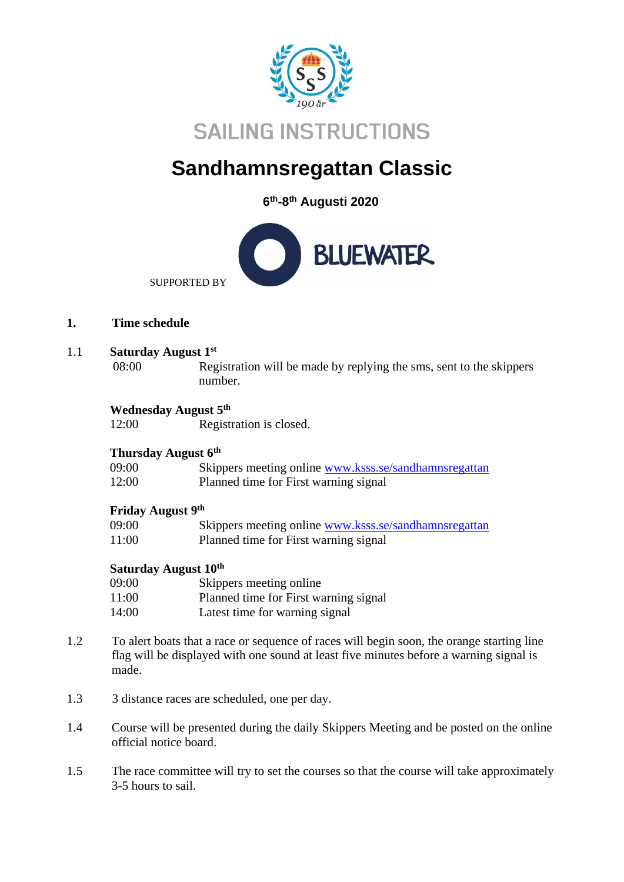

# **Sandhamnsregattan Classic**

**6 th-8 th Augusti 2020**



**1. Time schedule**

#### 1.1 **Saturday August 1st**

08:00 Registration will be made by replying the sms, sent to the skippers number.

## **Wednesday August 5 th**

12:00 Registration is closed.

## **Thursday August 6 th**

| 09:00 |  | Skippers meeting online www.ksss.se/sandhamnsregattan |
|-------|--|-------------------------------------------------------|
| 12:00 |  | Planned time for First warning signal                 |

#### **Friday August 9th**

| 09:00 | Skippers meeting online www.ksss.se/sandhamnsregattan |
|-------|-------------------------------------------------------|
| 11:00 | Planned time for First warning signal                 |

# **Saturday August 10th**

| 09:00 | Skippers meeting online               |
|-------|---------------------------------------|
| 11:00 | Planned time for First warning signal |
| 14:00 | Latest time for warning signal        |

- 1.2 To alert boats that a race or sequence of races will begin soon, the orange starting line flag will be displayed with one sound at least five minutes before a warning signal is made.
- 1.3 3 distance races are scheduled, one per day.
- 1.4 Course will be presented during the daily Skippers Meeting and be posted on the online official notice board.
- 1.5 The race committee will try to set the courses so that the course will take approximately 3-5 hours to sail.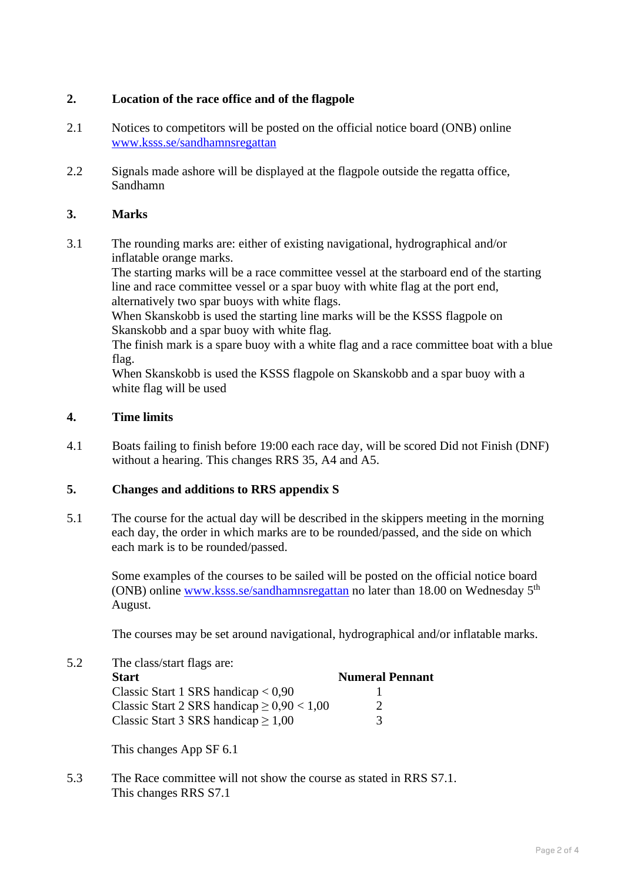## **2. Location of the race office and of the flagpole**

- 2.1 Notices to competitors will be posted on the official notice board (ONB) online [www.ksss.se/sandhamnsregattan](http://www.ksss.se/sandhamnsregattan)
- 2.2 Signals made ashore will be displayed at the flagpole outside the regatta office, Sandhamn

#### **3. Marks**

3.1 The rounding marks are: either of existing navigational, hydrographical and/or inflatable orange marks.

The starting marks will be a race committee vessel at the starboard end of the starting line and race committee vessel or a spar buoy with white flag at the port end, alternatively two spar buoys with white flags.

When Skanskobb is used the starting line marks will be the KSSS flagpole on Skanskobb and a spar buoy with white flag.

The finish mark is a spare buoy with a white flag and a race committee boat with a blue flag.

When Skanskobb is used the KSSS flagpole on Skanskobb and a spar buoy with a white flag will be used

#### **4. Time limits**

4.1 Boats failing to finish before 19:00 each race day, will be scored Did not Finish (DNF) without a hearing. This changes RRS 35, A4 and A5.

#### **5. Changes and additions to RRS appendix S**

5.1 The course for the actual day will be described in the skippers meeting in the morning each day, the order in which marks are to be rounded/passed, and the side on which each mark is to be rounded/passed.

Some examples of the courses to be sailed will be posted on the official notice board (ONB) online [www.ksss.se/sandhamnsregattan](http://www.ksss.se/sandhamnsregattan) no later than 18.00 on Wednesday 5<sup>th</sup> August.

The courses may be set around navigational, hydrographical and/or inflatable marks.

5.2 The class/start flags are: **Start Numeral Pennant** Classic Start 1 SRS handicap  $< 0.90$  1<br>Classic Start 2 SRS handicap  $> 0.90 < 1.00$  2 Classic Start 2 SRS handicap  $> 0.90 < 1.00$ Classic Start 3 SRS handicap  $\geq 1,00$  3

This changes App SF 6.1

5.3 The Race committee will not show the course as stated in RRS S7.1. This changes RRS S7.1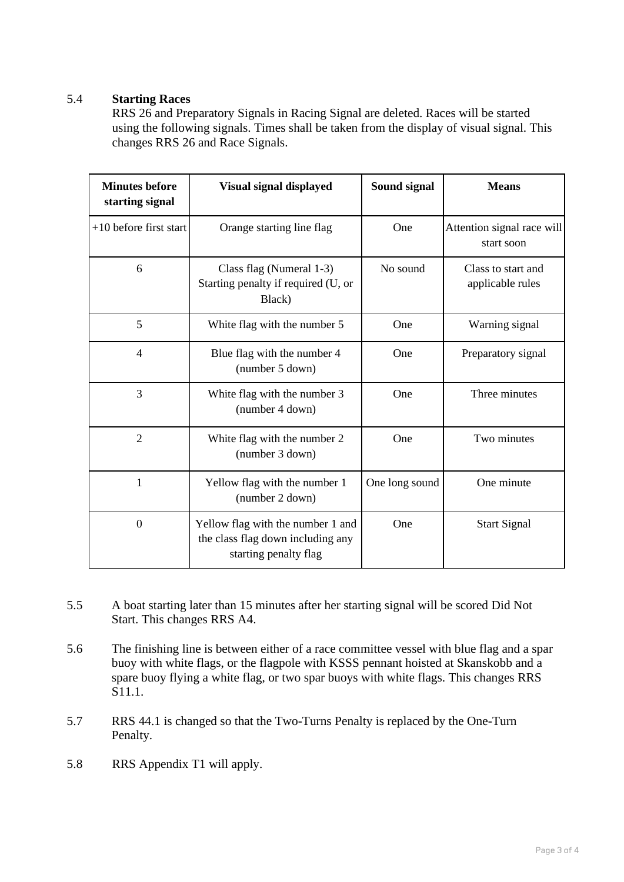## 5.4 **Starting Races**

RRS 26 and Preparatory Signals in Racing Signal are deleted. Races will be started using the following signals. Times shall be taken from the display of visual signal. This changes RRS 26 and Race Signals.

| <b>Minutes before</b><br>starting signal | Visual signal displayed                                                                         | Sound signal   | <b>Means</b>                             |
|------------------------------------------|-------------------------------------------------------------------------------------------------|----------------|------------------------------------------|
| $+10$ before first start                 | Orange starting line flag                                                                       | One            | Attention signal race will<br>start soon |
| 6                                        | Class flag (Numeral 1-3)<br>Starting penalty if required (U, or<br>Black)                       | No sound       | Class to start and<br>applicable rules   |
| 5                                        | White flag with the number 5                                                                    | One            | Warning signal                           |
| $\overline{4}$                           | Blue flag with the number 4<br>(number 5 down)                                                  | One            | Preparatory signal                       |
| 3                                        | White flag with the number 3<br>(number 4 down)                                                 | One            | Three minutes                            |
| $\overline{2}$                           | White flag with the number 2<br>(number 3 down)                                                 | One            | Two minutes                              |
| 1                                        | Yellow flag with the number 1<br>(number 2 down)                                                | One long sound | One minute                               |
| $\overline{0}$                           | Yellow flag with the number 1 and<br>the class flag down including any<br>starting penalty flag | One            | <b>Start Signal</b>                      |

- 5.5 A boat starting later than 15 minutes after her starting signal will be scored Did Not Start. This changes RRS A4.
- 5.6 The finishing line is between either of a race committee vessel with blue flag and a spar buoy with white flags, or the flagpole with KSSS pennant hoisted at Skanskobb and a spare buoy flying a white flag, or two spar buoys with white flags. This changes RRS S11.1.
- 5.7 RRS 44.1 is changed so that the Two-Turns Penalty is replaced by the One-Turn Penalty.
- 5.8 RRS Appendix T1 will apply.